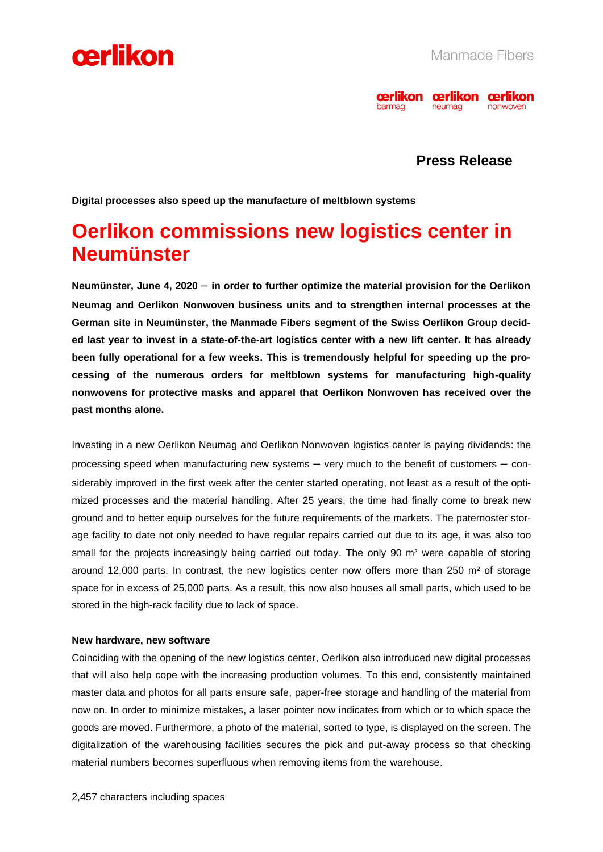



**Press Release**

**Digital processes also speed up the manufacture of meltblown systems**

# **Oerlikon commissions new logistics center in Neumünster**

**Neumünster, June 4, 2020** – **in order to further optimize the material provision for the Oerlikon Neumag and Oerlikon Nonwoven business units and to strengthen internal processes at the German site in Neumünster, the Manmade Fibers segment of the Swiss Oerlikon Group decided last year to invest in a state-of-the-art logistics center with a new lift center. It has already been fully operational for a few weeks. This is tremendously helpful for speeding up the processing of the numerous orders for meltblown systems for manufacturing high-quality nonwovens for protective masks and apparel that Oerlikon Nonwoven has received over the past months alone.**

Investing in a new Oerlikon Neumag and Oerlikon Nonwoven logistics center is paying dividends: the processing speed when manufacturing new systems – very much to the benefit of customers – considerably improved in the first week after the center started operating, not least as a result of the optimized processes and the material handling. After 25 years, the time had finally come to break new ground and to better equip ourselves for the future requirements of the markets. The paternoster storage facility to date not only needed to have regular repairs carried out due to its age, it was also too small for the projects increasingly being carried out today. The only 90 m<sup>2</sup> were capable of storing around 12,000 parts. In contrast, the new logistics center now offers more than 250  $m<sup>2</sup>$  of storage space for in excess of 25,000 parts. As a result, this now also houses all small parts, which used to be stored in the high-rack facility due to lack of space.

# **New hardware, new software**

Coinciding with the opening of the new logistics center, Oerlikon also introduced new digital processes that will also help cope with the increasing production volumes. To this end, consistently maintained master data and photos for all parts ensure safe, paper-free storage and handling of the material from now on. In order to minimize mistakes, a laser pointer now indicates from which or to which space the goods are moved. Furthermore, a photo of the material, sorted to type, is displayed on the screen. The digitalization of the warehousing facilities secures the pick and put-away process so that checking material numbers becomes superfluous when removing items from the warehouse.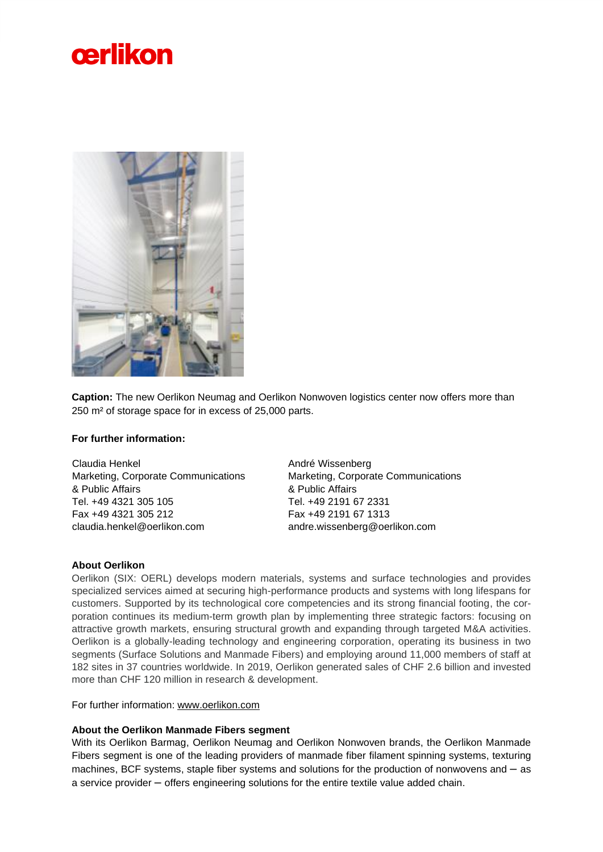



**Caption:** The new Oerlikon Neumag and Oerlikon Nonwoven logistics center now offers more than 250 m² of storage space for in excess of 25,000 parts.

# **For further information:**

Claudia Henkel Marketing, Corporate Communications & Public Affairs Tel. +49 4321 305 105 Fax +49 4321 305 212 claudia.henkel@oerlikon.com

André Wissenberg Marketing, Corporate Communications & Public Affairs Tel. +49 2191 67 2331 Fax +49 2191 67 1313 andre.wissenberg@oerlikon.com

# **About Oerlikon**

Oerlikon (SIX: OERL) develops modern materials, systems and surface technologies and provides specialized services aimed at securing high-performance products and systems with long lifespans for customers. Supported by its technological core competencies and its strong financial footing, the corporation continues its medium-term growth plan by implementing three strategic factors: focusing on attractive growth markets, ensuring structural growth and expanding through targeted M&A activities. Oerlikon is a globally-leading technology and engineering corporation, operating its business in two segments (Surface Solutions and Manmade Fibers) and employing around 11,000 members of staff at 182 sites in 37 countries worldwide. In 2019, Oerlikon generated sales of CHF 2.6 billion and invested more than CHF 120 million in research & development.

For further information: [www.oerlikon.com](http://www.oerlikon.com/)

# **About the Oerlikon Manmade Fibers segment**

With its Oerlikon Barmag, Oerlikon Neumag and Oerlikon Nonwoven brands, the Oerlikon Manmade Fibers segment is one of the leading providers of manmade fiber filament spinning systems, texturing machines, BCF systems, staple fiber systems and solutions for the production of nonwovens and – as a service provider – offers engineering solutions for the entire textile value added chain.